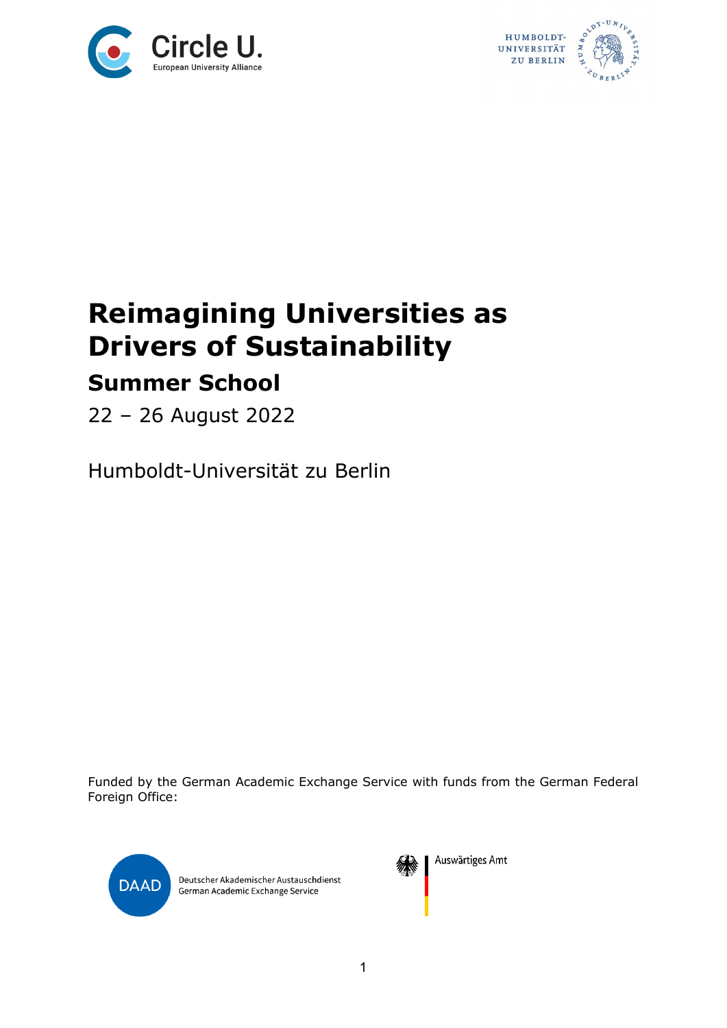



## **Reimagining Universities as Drivers of Sustainability Summer School**

22 – 26 August 2022

Humboldt-Universität zu Berlin

Funded by the German Academic Exchange Service with funds from the German Federal Foreign Office:



Deutscher Akademischer Austauschdienst German Academic Exchange Service



Auswärtiges Amt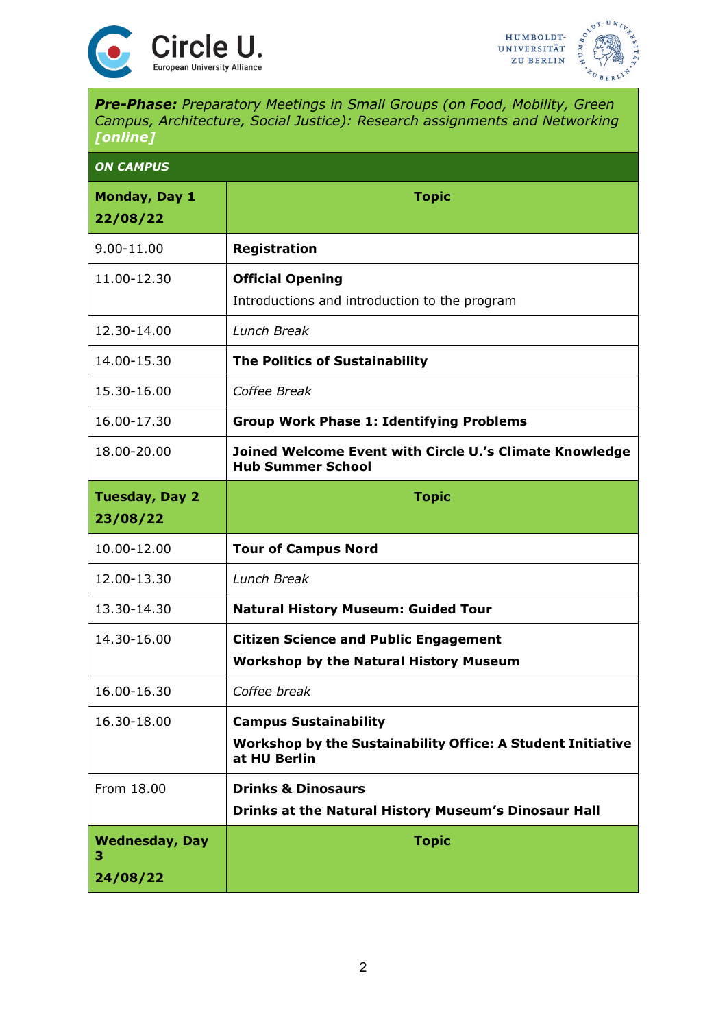



*Pre-Phase: Preparatory Meetings in Small Groups (on Food, Mobility, Green Campus, Architecture, Social Justice): Research assignments and Networking [online]*

| <b>ON CAMPUS</b>           |                                                                                     |
|----------------------------|-------------------------------------------------------------------------------------|
| Monday, Day 1<br>22/08/22  | <b>Topic</b>                                                                        |
| 9.00-11.00                 | <b>Registration</b>                                                                 |
| 11.00-12.30                | <b>Official Opening</b><br>Introductions and introduction to the program            |
| 12.30-14.00                | Lunch Break                                                                         |
| 14.00-15.30                | <b>The Politics of Sustainability</b>                                               |
| 15.30-16.00                | Coffee Break                                                                        |
| 16.00-17.30                | <b>Group Work Phase 1: Identifying Problems</b>                                     |
| 18.00-20.00                | Joined Welcome Event with Circle U.'s Climate Knowledge<br><b>Hub Summer School</b> |
| <b>Tuesday, Day 2</b>      | <b>Topic</b>                                                                        |
| 23/08/22                   |                                                                                     |
| 10.00-12.00                | <b>Tour of Campus Nord</b>                                                          |
| 12.00-13.30                | Lunch Break                                                                         |
| 13.30-14.30                | <b>Natural History Museum: Guided Tour</b>                                          |
| 14.30-16.00                | <b>Citizen Science and Public Engagement</b>                                        |
|                            | <b>Workshop by the Natural History Museum</b>                                       |
| 16.00-16.30                | Coffee break                                                                        |
| 16.30-18.00                | <b>Campus Sustainability</b>                                                        |
|                            | Workshop by the Sustainability Office: A Student Initiative<br>at HU Berlin         |
| From 18.00                 | <b>Drinks &amp; Dinosaurs</b>                                                       |
|                            | Drinks at the Natural History Museum's Dinosaur Hall                                |
| <b>Wednesday, Day</b><br>з | <b>Topic</b>                                                                        |
| 24/08/22                   |                                                                                     |